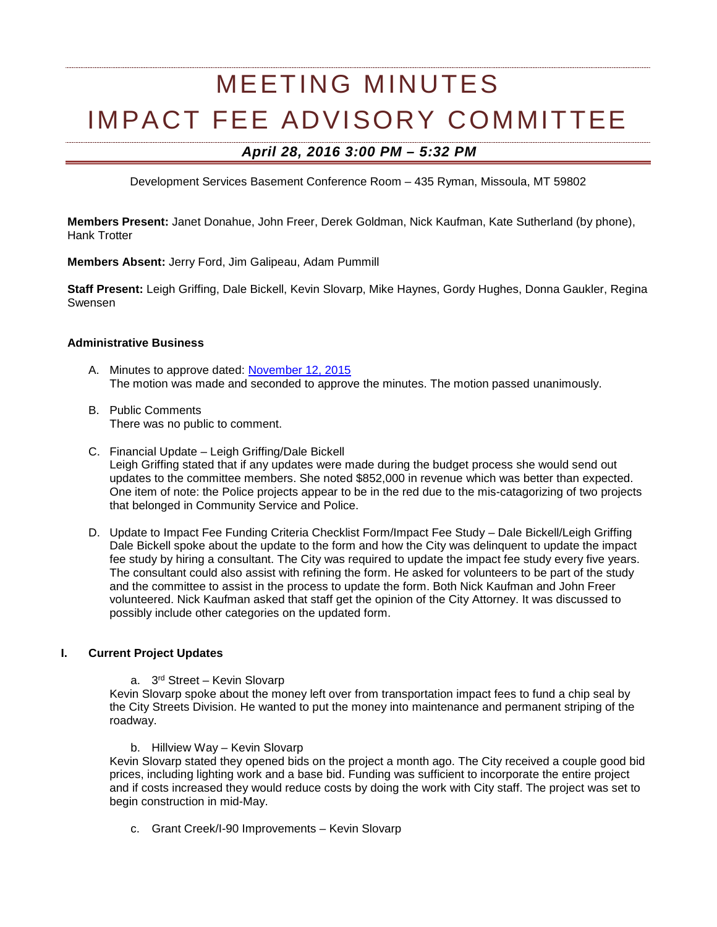# MEETING MINUTES IMPACT FEE ADVISORY COMMITTEE

# *April 28, 2016 3:00 PM – 5:32 PM*

Development Services Basement Conference Room – 435 Ryman, Missoula, MT 59802

**Members Present:** Janet Donahue, John Freer, Derek Goldman, Nick Kaufman, Kate Sutherland (by phone), Hank Trotter

**Members Absent:** Jerry Ford, Jim Galipeau, Adam Pummill

**Staff Present:** Leigh Griffing, Dale Bickell, Kevin Slovarp, Mike Haynes, Gordy Hughes, Donna Gaukler, Regina Swensen

#### **Administrative Business**

- A. Minutes to approve dated: [November 12, 2015](http://www.ci.missoula.mt.us/Archive.aspx?ADID=9741) The motion was made and seconded to approve the minutes. The motion passed unanimously.
- B. Public Comments There was no public to comment.
- C. Financial Update Leigh Griffing/Dale Bickell Leigh Griffing stated that if any updates were made during the budget process she would send out updates to the committee members. She noted \$852,000 in revenue which was better than expected. One item of note: the Police projects appear to be in the red due to the mis-catagorizing of two projects that belonged in Community Service and Police.
- D. Update to Impact Fee Funding Criteria Checklist Form/Impact Fee Study Dale Bickell/Leigh Griffing Dale Bickell spoke about the update to the form and how the City was delinquent to update the impact fee study by hiring a consultant. The City was required to update the impact fee study every five years. The consultant could also assist with refining the form. He asked for volunteers to be part of the study and the committee to assist in the process to update the form. Both Nick Kaufman and John Freer volunteered. Nick Kaufman asked that staff get the opinion of the City Attorney. It was discussed to possibly include other categories on the updated form.

#### **I. Current Project Updates**

a. 3rd Street – Kevin Slovarp

Kevin Slovarp spoke about the money left over from transportation impact fees to fund a chip seal by the City Streets Division. He wanted to put the money into maintenance and permanent striping of the roadway.

b. Hillview Way – Kevin Slovarp

Kevin Slovarp stated they opened bids on the project a month ago. The City received a couple good bid prices, including lighting work and a base bid. Funding was sufficient to incorporate the entire project and if costs increased they would reduce costs by doing the work with City staff. The project was set to begin construction in mid-May.

c. Grant Creek/I-90 Improvements – Kevin Slovarp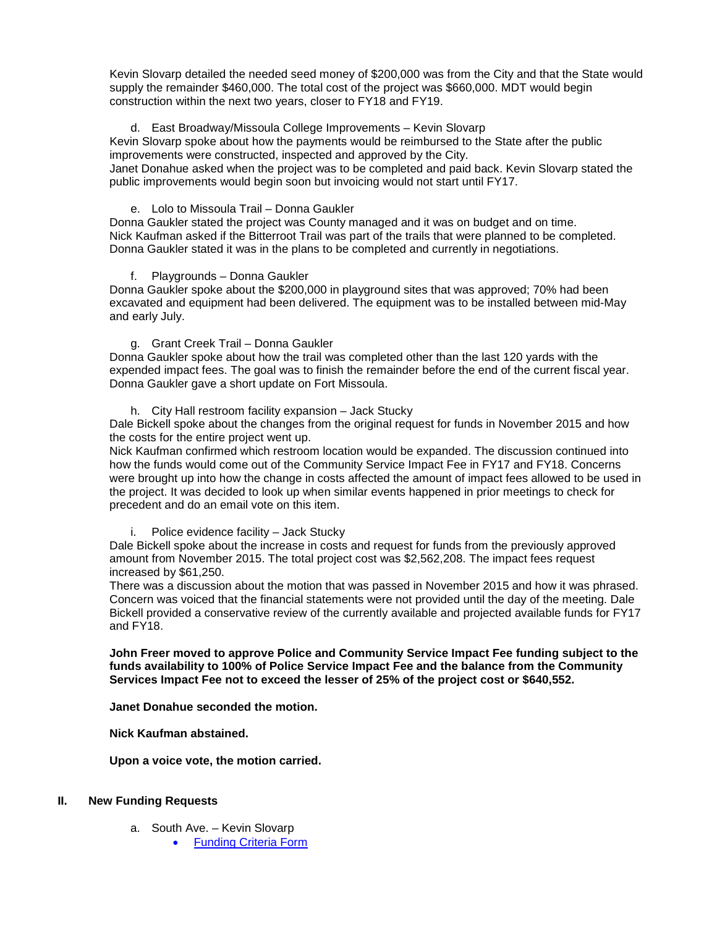Kevin Slovarp detailed the needed seed money of \$200,000 was from the City and that the State would supply the remainder \$460,000. The total cost of the project was \$660,000. MDT would begin construction within the next two years, closer to FY18 and FY19.

# d. East Broadway/Missoula College Improvements – Kevin Slovarp

Kevin Slovarp spoke about how the payments would be reimbursed to the State after the public improvements were constructed, inspected and approved by the City.

Janet Donahue asked when the project was to be completed and paid back. Kevin Slovarp stated the public improvements would begin soon but invoicing would not start until FY17.

#### e. Lolo to Missoula Trail – Donna Gaukler

Donna Gaukler stated the project was County managed and it was on budget and on time. Nick Kaufman asked if the Bitterroot Trail was part of the trails that were planned to be completed. Donna Gaukler stated it was in the plans to be completed and currently in negotiations.

#### f. Playgrounds – Donna Gaukler

Donna Gaukler spoke about the \$200,000 in playground sites that was approved; 70% had been excavated and equipment had been delivered. The equipment was to be installed between mid-May and early July.

g. Grant Creek Trail – Donna Gaukler

Donna Gaukler spoke about how the trail was completed other than the last 120 yards with the expended impact fees. The goal was to finish the remainder before the end of the current fiscal year. Donna Gaukler gave a short update on Fort Missoula.

h. City Hall restroom facility expansion – Jack Stucky

Dale Bickell spoke about the changes from the original request for funds in November 2015 and how the costs for the entire project went up.

Nick Kaufman confirmed which restroom location would be expanded. The discussion continued into how the funds would come out of the Community Service Impact Fee in FY17 and FY18. Concerns were brought up into how the change in costs affected the amount of impact fees allowed to be used in the project. It was decided to look up when similar events happened in prior meetings to check for precedent and do an email vote on this item.

i. Police evidence facility – Jack Stucky

Dale Bickell spoke about the increase in costs and request for funds from the previously approved amount from November 2015. The total project cost was \$2,562,208. The impact fees request increased by \$61,250.

There was a discussion about the motion that was passed in November 2015 and how it was phrased. Concern was voiced that the financial statements were not provided until the day of the meeting. Dale Bickell provided a conservative review of the currently available and projected available funds for FY17 and FY18.

**John Freer moved to approve Police and Community Service Impact Fee funding subject to the funds availability to 100% of Police Service Impact Fee and the balance from the Community Services Impact Fee not to exceed the lesser of 25% of the project cost or \$640,552.**

#### **Janet Donahue seconded the motion.**

**Nick Kaufman abstained.**

**Upon a voice vote, the motion carried.** 

#### **II. New Funding Requests**

- a. South Ave. Kevin Slovarp
	- [Funding Criteria Form](https://www.ci.missoula.mt.us/DocumentCenter/View/33694)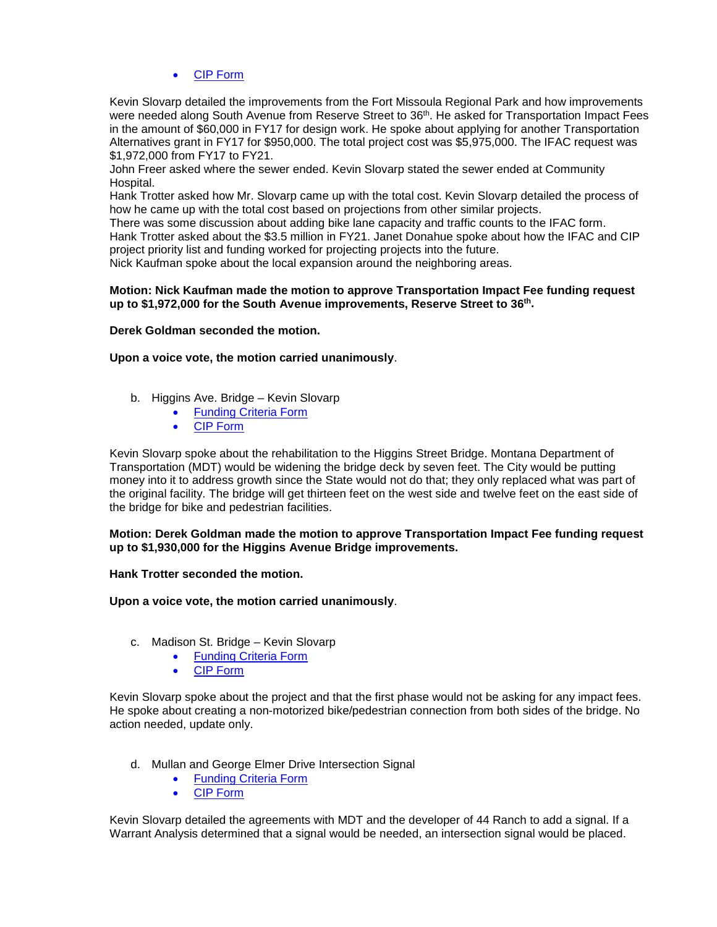# • [CIP Form](https://www.ci.missoula.mt.us/DocumentCenter/View/33697)

Kevin Slovarp detailed the improvements from the Fort Missoula Regional Park and how improvements were needed along South Avenue from Reserve Street to 36<sup>th</sup>. He asked for Transportation Impact Fees in the amount of \$60,000 in FY17 for design work. He spoke about applying for another Transportation Alternatives grant in FY17 for \$950,000. The total project cost was \$5,975,000. The IFAC request was \$1,972,000 from FY17 to FY21.

John Freer asked where the sewer ended. Kevin Slovarp stated the sewer ended at Community Hospital.

Hank Trotter asked how Mr. Slovarp came up with the total cost. Kevin Slovarp detailed the process of how he came up with the total cost based on projections from other similar projects.

There was some discussion about adding bike lane capacity and traffic counts to the IFAC form.

Hank Trotter asked about the \$3.5 million in FY21. Janet Donahue spoke about how the IFAC and CIP project priority list and funding worked for projecting projects into the future.

Nick Kaufman spoke about the local expansion around the neighboring areas.

#### **Motion: Nick Kaufman made the motion to approve Transportation Impact Fee funding request up to \$1,972,000 for the South Avenue improvements, Reserve Street to 36th.**

#### **Derek Goldman seconded the motion.**

### **Upon a voice vote, the motion carried unanimously**.

- b. Higgins Ave. Bridge Kevin Slovarp
	- **[Funding Criteria Form](https://www.ci.missoula.mt.us/DocumentCenter/View/33691)**
	- [CIP Form](https://www.ci.missoula.mt.us/DocumentCenter/View/33695)

Kevin Slovarp spoke about the rehabilitation to the Higgins Street Bridge. Montana Department of Transportation (MDT) would be widening the bridge deck by seven feet. The City would be putting money into it to address growth since the State would not do that; they only replaced what was part of the original facility. The bridge will get thirteen feet on the west side and twelve feet on the east side of the bridge for bike and pedestrian facilities.

**Motion: Derek Goldman made the motion to approve Transportation Impact Fee funding request up to \$1,930,000 for the Higgins Avenue Bridge improvements.**

**Hank Trotter seconded the motion.** 

**Upon a voice vote, the motion carried unanimously**.

- c. Madison St. Bridge Kevin Slovarp
	- [Funding Criteria Form](https://www.ci.missoula.mt.us/DocumentCenter/View/33693)
	- [CIP Form](https://www.ci.missoula.mt.us/DocumentCenter/View/33696)

Kevin Slovarp spoke about the project and that the first phase would not be asking for any impact fees. He spoke about creating a non-motorized bike/pedestrian connection from both sides of the bridge. No action needed, update only.

- d. Mullan and George Elmer Drive Intersection Signal
	- [Funding Criteria Form](https://www.ci.missoula.mt.us/DocumentCenter/View/33725)
	- [CIP Form](https://www.ci.missoula.mt.us/DocumentCenter/View/33724)

Kevin Slovarp detailed the agreements with MDT and the developer of 44 Ranch to add a signal. If a Warrant Analysis determined that a signal would be needed, an intersection signal would be placed.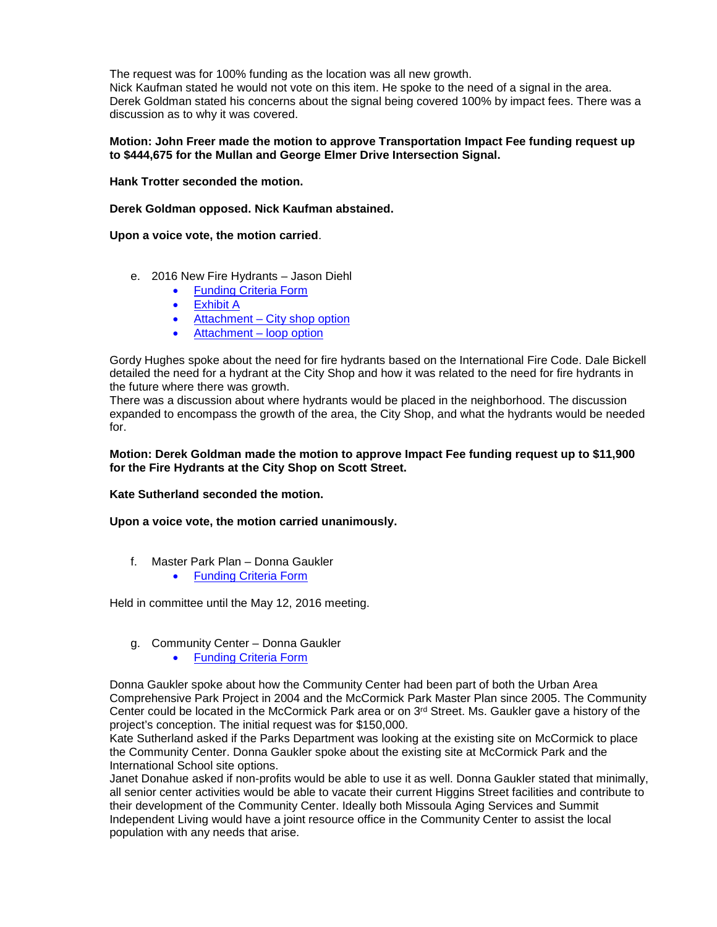The request was for 100% funding as the location was all new growth.

Nick Kaufman stated he would not vote on this item. He spoke to the need of a signal in the area. Derek Goldman stated his concerns about the signal being covered 100% by impact fees. There was a discussion as to why it was covered.

#### **Motion: John Freer made the motion to approve Transportation Impact Fee funding request up to \$444,675 for the Mullan and George Elmer Drive Intersection Signal.**

**Hank Trotter seconded the motion.** 

**Derek Goldman opposed. Nick Kaufman abstained.**

**Upon a voice vote, the motion carried**.

- e. 2016 New Fire Hydrants Jason Diehl
	- [Funding Criteria Form](https://www.ci.missoula.mt.us/DocumentCenter/View/33868)
	- [Exhibit A](https://www.ci.missoula.mt.us/DocumentCenter/View/33700)
	- Attachment [City shop option](https://www.ci.missoula.mt.us/DocumentCenter/View/33698)
	- [Attachment –](https://www.ci.missoula.mt.us/DocumentCenter/View/33699) loop option

Gordy Hughes spoke about the need for fire hydrants based on the International Fire Code. Dale Bickell detailed the need for a hydrant at the City Shop and how it was related to the need for fire hydrants in the future where there was growth.

There was a discussion about where hydrants would be placed in the neighborhood. The discussion expanded to encompass the growth of the area, the City Shop, and what the hydrants would be needed for.

#### **Motion: Derek Goldman made the motion to approve Impact Fee funding request up to \$11,900 for the Fire Hydrants at the City Shop on Scott Street.**

**Kate Sutherland seconded the motion.** 

**Upon a voice vote, the motion carried unanimously.**

f. Master Park Plan – Donna Gaukler • [Funding Criteria Form](https://www.ci.missoula.mt.us/DocumentCenter/View/33702)

Held in committee until the May 12, 2016 meeting.

- g. Community Center Donna Gaukler
	- [Funding Criteria Form](https://www.ci.missoula.mt.us/DocumentCenter/View/33701)

Donna Gaukler spoke about how the Community Center had been part of both the Urban Area Comprehensive Park Project in 2004 and the McCormick Park Master Plan since 2005. The Community Center could be located in the McCormick Park area or on  $3<sup>rd</sup>$  Street. Ms. Gaukler gave a history of the project's conception. The initial request was for \$150,000.

Kate Sutherland asked if the Parks Department was looking at the existing site on McCormick to place the Community Center. Donna Gaukler spoke about the existing site at McCormick Park and the International School site options.

Janet Donahue asked if non-profits would be able to use it as well. Donna Gaukler stated that minimally, all senior center activities would be able to vacate their current Higgins Street facilities and contribute to their development of the Community Center. Ideally both Missoula Aging Services and Summit Independent Living would have a joint resource office in the Community Center to assist the local population with any needs that arise.